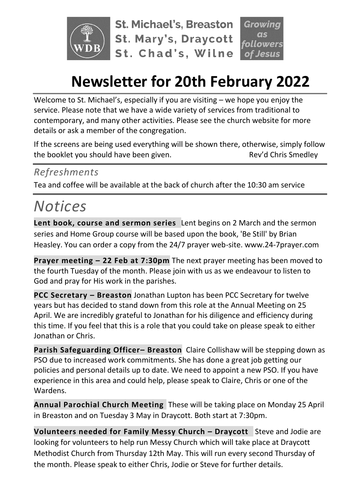

**St. Michael's, Breaston St. Mary's, Draycott** St. Chad's, Wilne

# **Newsletter for 20th February 2022**

Welcome to St. Michael's, especially if you are visiting – we hope you enjoy the service. Please note that we have a wide variety of services from traditional to contemporary, and many other activities. Please see the church website for more details or ask a member of the congregation.

If the screens are being used everything will be shown there, otherwise, simply follow the booklet you should have been given. The state of the sev'd Chris Smedley

### *Refreshments*

Tea and coffee will be available at the back of church after the 10:30 am service

# *Notices*

**Lent book, course and sermon series** Lent begins on 2 March and the sermon series and Home Group course will be based upon the book, 'Be Still' by Brian Heasley. You can order a copy from the 24/7 prayer web-site. www.24-7prayer.com

**Prayer meeting – 22 Feb at 7:30pm** The next prayer meeting has been moved to the fourth Tuesday of the month. Please join with us as we endeavour to listen to God and pray for His work in the parishes.

**PCC Secretary – Breaston** Jonathan Lupton has been PCC Secretary for twelve years but has decided to stand down from this role at the Annual Meeting on 25 April. We are incredibly grateful to Jonathan for his diligence and efficiency during this time. If you feel that this is a role that you could take on please speak to either Jonathan or Chris.

**Parish Safeguarding Officer– Breaston** Claire Collishaw will be stepping down as PSO due to increased work commitments. She has done a great job getting our policies and personal details up to date. We need to appoint a new PSO. If you have experience in this area and could help, please speak to Claire, Chris or one of the Wardens.

**Annual Parochial Church Meeting** These will be taking place on Monday 25 April in Breaston and on Tuesday 3 May in Draycott. Both start at 7:30pm.

**Volunteers needed for Family Messy Church – Draycott** Steve and Jodie are looking for volunteers to help run Messy Church which will take place at Draycott Methodist Church from Thursday 12th May. This will run every second Thursday of the month. Please speak to either Chris, Jodie or Steve for further details.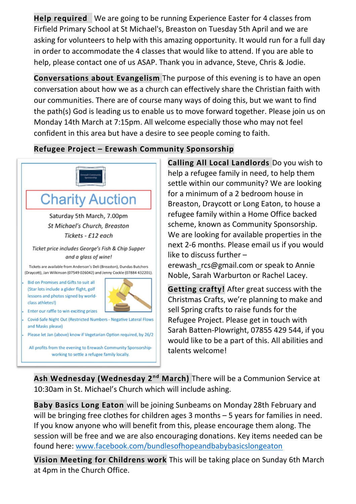**Help required** We are going to be running Experience Easter for 4 classes from Firfield Primary School at St Michael's, Breaston on Tuesday 5th April and we are asking for volunteers to help with this amazing opportunity. It would run for a full day in order to accommodate the 4 classes that would like to attend. If you are able to help, please contact one of us ASAP. Thank you in advance, Steve, Chris & Jodie.

**Conversations about Evangelism** The purpose of this evening is to have an open conversation about how we as a church can effectively share the Christian faith with our communities. There are of course many ways of doing this, but we want to find the path(s) God is leading us to enable us to move forward together. Please join us on Monday 14th March at 7:15pm. All welcome especially those who may not feel confident in this area but have a desire to see people coming to faith.

#### **Refugee Project – Erewash Community Sponsorship**



**Calling All Local Landlords** Do you wish to help a refugee family in need, to help them settle within our community? We are looking for a minimum of a 2 bedroom house in Breaston, Draycott or Long Eaton, to house a refugee family within a Home Office backed scheme, known as Community Sponsorship. We are looking for available properties in the next 2-6 months. Please email us if you would like to discuss further –

erewash rcs@gmail.com or speak to Annie Noble, Sarah Warburton or Rachel Lacey.

**Getting crafty!** After great success with the Christmas Crafts, we're planning to make and sell Spring crafts to raise funds for the Refugee Project. Please get in touch with Sarah Batten-Plowright, 07855 429 544, if you would like to be a part of this. All abilities and talents welcome!

**Ash Wednesday (Wednesday 2nd March)** There will be a Communion Service at 10:30am in St. Michael's Church which will include ashing.

**Baby Basics Long Eaton** will be joining Sunbeams on Monday 28th February and will be bringing free clothes for children ages 3 months – 5 years for families in need. If you know anyone who will benefit from this, please encourage them along. The session will be free and we are also encouraging donations. Key items needed can be found here: [www.facebook.com/bundlesofhopeandbabybasicslongeaton](http://www.facebook.com/bundlesofhopeandbabybasicslongeaton)

**Vision Meeting for Childrens work** This will be taking place on Sunday 6th March at 4pm in the Church Office.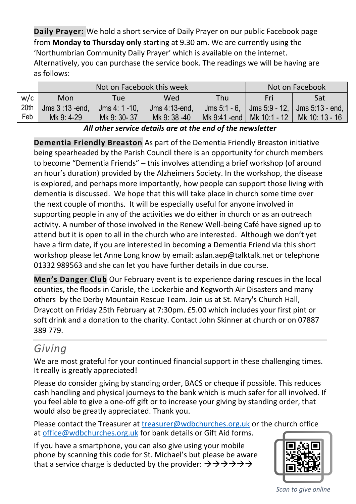**Daily Prayer:** We hold a short service of Daily Prayer on our public Facebook page from **Monday to Thursday only** starting at 9.30 am. We are currently using the 'Northumbrian Community Daily Prayer' which is available on the internet. Alternatively, you can purchase the service book. The readings we will be having are as follows:

|      |                  | Not on Facebook this week | Not on Facebook |                |              |                                                  |
|------|------------------|---------------------------|-----------------|----------------|--------------|--------------------------------------------------|
| w/c  | Mon              | Tue                       | Wed             | Thu            | Fri          | Sat                                              |
| 20th | Jms $3:13$ -end. | $Jms$ 4: 1 - 10.          | Jms 4:13-end.   |                |              | Jms $5:1 - 6$ , Jms $5:9 - 12$ , Jms $5:13 - 12$ |
| Feb  | Mk 9: 4-29       | Mk 9: 30-37               | Mk 9: 38 -40    | Mk 9:41 -end I | Mk 10:1 - 12 | Mk 10: 13 - 16                                   |

*All other service details are at the end of the newsletter*

**Dementia Friendly Breaston** As part of the Dementia Friendly Breaston initiative being spearheaded by the Parish Council there is an opportunity for church members to become "Dementia Friends" – this involves attending a brief workshop (of around an hour's duration) provided by the Alzheimers Society. In the workshop, the disease is explored, and perhaps more importantly, how people can support those living with dementia is discussed. We hope that this will take place in church some time over the next couple of months. It will be especially useful for anyone involved in supporting people in any of the activities we do either in church or as an outreach activity. A number of those involved in the Renew Well-being Café have signed up to attend but it is open to all in the church who are interested. Although we don't yet have a firm date, if you are interested in becoming a Dementia Friend via this short workshop please let Anne Long know by email: aslan.aep@talktalk.net or telephone 01332 989563 and she can let you have further details in due course.

**Men's Danger Club** Our February event is to experience daring rescues in the local counties, the floods in Carisle, the Lockerbie and Kegworth Air Disasters and many others by the Derby Mountain Rescue Team. Join us at St. Mary's Church Hall, Draycott on Friday 25th February at 7:30pm. £5.00 which includes your first pint or soft drink and a donation to the charity. Contact John Skinner at church or on 07887 389 779.

### *Giving*

We are most grateful for your continued financial support in these challenging times. It really is greatly appreciated!

Please do consider giving by standing order, BACS or cheque if possible. This reduces cash handling and physical journeys to the bank which is much safer for all involved. If you feel able to give a one-off gift or to increase your giving by standing order, that would also be greatly appreciated. Thank you.

Please contact the Treasurer at [treasurer@wdbchurches.org.uk](mailto:treasurer@wdbchurches.org.uk) or the church office at [office@wdbchurches.org.uk](mailto:office@wdbchurches.org.uk) for bank details or Gift Aid forms.

If you have a smartphone, you can also give using your mobile phone by scanning this code for St. Michael's but please be aware that a service charge is deducted by the provider:  $\rightarrow \rightarrow \rightarrow \rightarrow \rightarrow \rightarrow$ 



*Scan to give online*